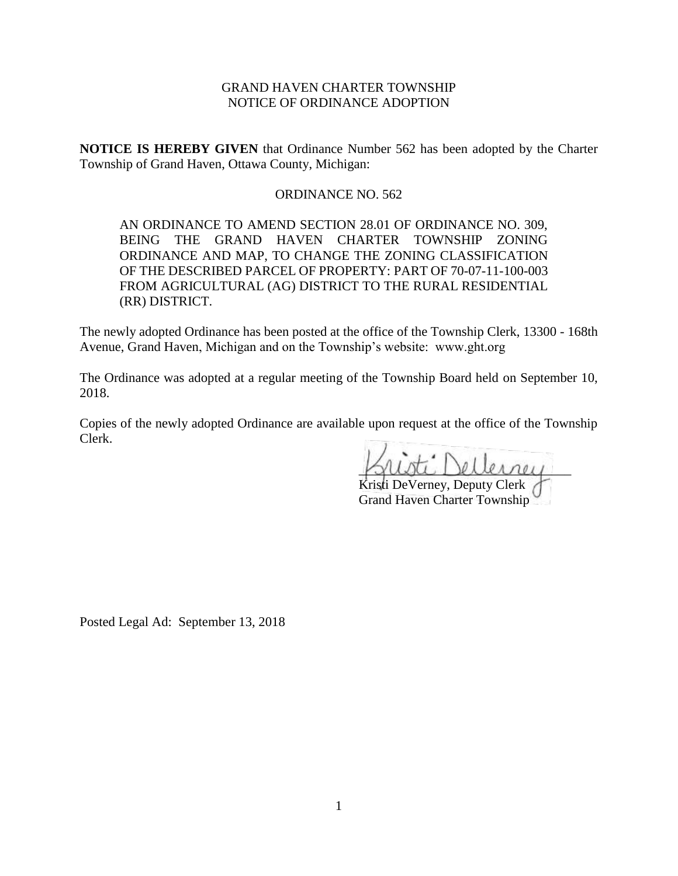# GRAND HAVEN CHARTER TOWNSHIP NOTICE OF ORDINANCE ADOPTION

**NOTICE IS HEREBY GIVEN** that Ordinance Number 562 has been adopted by the Charter Township of Grand Haven, Ottawa County, Michigan:

## ORDINANCE NO. 562

AN ORDINANCE TO AMEND SECTION 28.01 OF ORDINANCE NO. 309, BEING THE GRAND HAVEN CHARTER TOWNSHIP ZONING ORDINANCE AND MAP, TO CHANGE THE ZONING CLASSIFICATION OF THE DESCRIBED PARCEL OF PROPERTY: PART OF 70-07-11-100-003 FROM AGRICULTURAL (AG) DISTRICT TO THE RURAL RESIDENTIAL (RR) DISTRICT.

The newly adopted Ordinance has been posted at the office of the Township Clerk, 13300 - 168th Avenue, Grand Haven, Michigan and on the Township's website: www.ght.org

The Ordinance was adopted at a regular meeting of the Township Board held on September 10, 2018.

Copies of the newly adopted Ordinance are available upon request at the office of the Township Clerk.

\_\_\_\_\_\_\_\_\_\_\_\_\_\_\_\_\_\_\_\_\_\_\_\_\_\_\_\_\_\_\_\_

Kristi DeVerney, Deputy Clerk Grand Haven Charter Township

Posted Legal Ad: September 13, 2018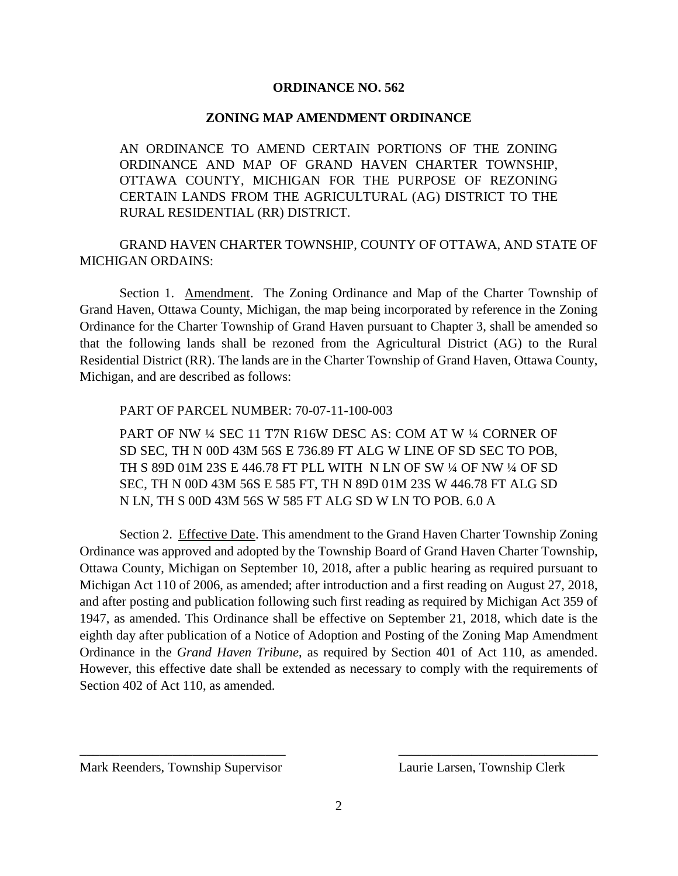### **ORDINANCE NO. 562**

### **ZONING MAP AMENDMENT ORDINANCE**

AN ORDINANCE TO AMEND CERTAIN PORTIONS OF THE ZONING ORDINANCE AND MAP OF GRAND HAVEN CHARTER TOWNSHIP, OTTAWA COUNTY, MICHIGAN FOR THE PURPOSE OF REZONING CERTAIN LANDS FROM THE AGRICULTURAL (AG) DISTRICT TO THE RURAL RESIDENTIAL (RR) DISTRICT.

GRAND HAVEN CHARTER TOWNSHIP, COUNTY OF OTTAWA, AND STATE OF MICHIGAN ORDAINS:

Section 1. Amendment. The Zoning Ordinance and Map of the Charter Township of Grand Haven, Ottawa County, Michigan, the map being incorporated by reference in the Zoning Ordinance for the Charter Township of Grand Haven pursuant to Chapter 3, shall be amended so that the following lands shall be rezoned from the Agricultural District (AG) to the Rural Residential District (RR). The lands are in the Charter Township of Grand Haven, Ottawa County, Michigan, and are described as follows:

PART OF PARCEL NUMBER: 70-07-11-100-003

PART OF NW ¼ SEC 11 T7N R16W DESC AS: COM AT W ¼ CORNER OF SD SEC, TH N 00D 43M 56S E 736.89 FT ALG W LINE OF SD SEC TO POB, TH S 89D 01M 23S E 446.78 FT PLL WITH N LN OF SW ¼ OF NW ¼ OF SD SEC, TH N 00D 43M 56S E 585 FT, TH N 89D 01M 23S W 446.78 FT ALG SD N LN, TH S 00D 43M 56S W 585 FT ALG SD W LN TO POB. 6.0 A

Section 2. Effective Date. This amendment to the Grand Haven Charter Township Zoning Ordinance was approved and adopted by the Township Board of Grand Haven Charter Township, Ottawa County, Michigan on September 10, 2018, after a public hearing as required pursuant to Michigan Act 110 of 2006, as amended; after introduction and a first reading on August 27, 2018, and after posting and publication following such first reading as required by Michigan Act 359 of 1947, as amended. This Ordinance shall be effective on September 21, 2018, which date is the eighth day after publication of a Notice of Adoption and Posting of the Zoning Map Amendment Ordinance in the *Grand Haven Tribune*, as required by Section 401 of Act 110, as amended. However, this effective date shall be extended as necessary to comply with the requirements of Section 402 of Act 110, as amended.

 $\overline{\phantom{a}}$  , and the contract of the contract of the contract of the contract of the contract of the contract of the contract of the contract of the contract of the contract of the contract of the contract of the contrac

Mark Reenders, Township Supervisor Laurie Larsen, Township Clerk